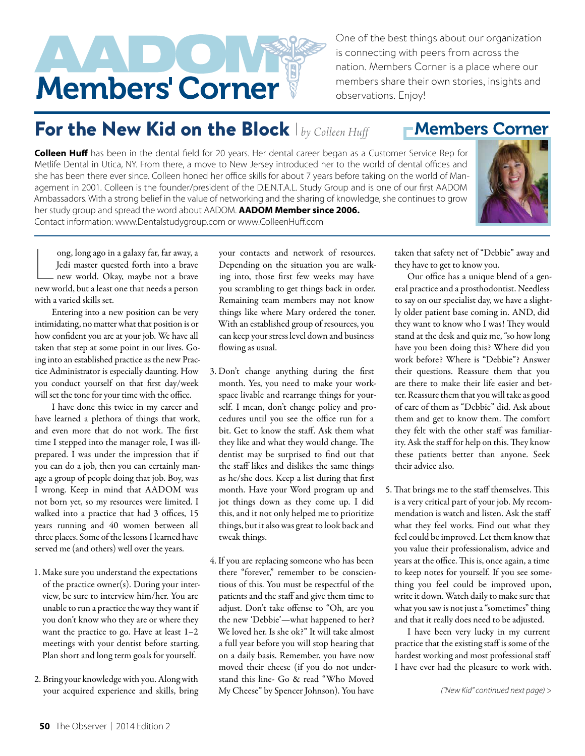

One of the best things about our organization is connecting with peers from across the nation. Members Corner is a place where our members share their own stories, insights and observations. Enjoy!

## For the New Kid on the Block *| by Colleen Huff*

## **Colleen Huff** has been in the dental field for 20 years. Her dental career began as a Customer Service Rep for Metlife Dental in Utica, NY. From there, a move to New Jersey introduced her to the world of dental offices and she has been there ever since. Colleen honed her office skills for about 7 years before taking on the world of Management in 2001. Colleen is the founder/president of the D.E.N.T.A.L. Study Group and is one of our first AADOM Ambassadors. With a strong belief in the value of networking and the sharing of knowledge, she continues to grow her study group and spread the word about AADOM. **AADOM Member since 2006.**  Contact information: www.Dentalstudygroup.com or www.ColleenHuff.com



ong, long ago in a galaxy far, far away, a<br>Jedi master quested forth into a brave<br>new world. Okay, maybe not a brave<br>new world, but a least one that needs a person ong, long ago in a galaxy far, far away, a Jedi master quested forth into a brave new world. Okay, maybe not a brave with a varied skills set.

Entering into a new position can be very intimidating, no matter what that position is or how confdent you are at your job. We have all taken that step at some point in our lives. Going into an established practice as the new Practice Administrator is especially daunting. How you conduct yourself on that frst day/week will set the tone for your time with the office.

I have done this twice in my career and have learned a plethora of things that work, and even more that do not work. The first time I stepped into the manager role, I was illprepared. I was under the impression that if you can do a job, then you can certainly manage a group of people doing that job. Boy, was I wrong. Keep in mind that AADOM was not born yet, so my resources were limited. I walked into a practice that had 3 offices, 15 years running and 40 women between all three places. Some of the lessons I learned have served me (and others) well over the years.

- 1. Make sure you understand the expectations of the practice owner(s). During your interview, be sure to interview him/her. You are unable to run a practice the way they want if you don't know who they are or where they want the practice to go. Have at least 1–2 meetings with your dentist before starting. Plan short and long term goals for yourself.
- 2. Bring your knowledge with you. Along with your acquired experience and skills, bring

your contacts and network of resources. Depending on the situation you are walking into, those frst few weeks may have you scrambling to get things back in order. Remaining team members may not know things like where Mary ordered the toner. With an established group of resources, you can keep your stress level down and business flowing as usual.

- 3. Don't change anything during the frst month. Yes, you need to make your workspace livable and rearrange things for yourself. I mean, don't change policy and procedures until you see the office run for a bit. Get to know the staf. Ask them what they like and what they would change. The dentist may be surprised to fnd out that the staff likes and dislikes the same things as he/she does. Keep a list during that frst month. Have your Word program up and jot things down as they come up. I did this, and it not only helped me to prioritize things, but it also was great to look back and tweak things.
- 4. If you are replacing someone who has been there "forever," remember to be conscientious of this. You must be respectful of the patients and the staff and give them time to adjust. Don't take offense to "Oh, are you the new 'Debbie'—what happened to her? We loved her. Is she ok?" It will take almost a full year before you will stop hearing that on a daily basis. Remember, you have now moved their cheese (if you do not understand this line- Go & read "Who Moved My Cheese" by Spencer Johnson). You have

taken that safety net of "Debbie" away and they have to get to know you.

Our office has a unique blend of a general practice and a prosthodontist. Needless to say on our specialist day, we have a slightly older patient base coming in. AND, did they want to know who I was! They would stand at the desk and quiz me, "so how long have you been doing this? Where did you work before? Where is "Debbie"? Answer their questions. Reassure them that you are there to make their life easier and better. Reassure them that you will take as good of care of them as "Debbie" did. Ask about them and get to know them. The comfort they felt with the other staff was familiarity. Ask the staff for help on this. They know these patients better than anyone. Seek their advice also.

5. That brings me to the staff themselves. This is a very critical part of your job. My recommendation is watch and listen. Ask the staf what they feel works. Find out what they feel could be improved. Let them know that you value their professionalism, advice and years at the office. This is, once again, a time to keep notes for yourself. If you see something you feel could be improved upon, write it down. Watch daily to make sure that what you saw is not just a "sometimes" thing and that it really does need to be adjusted.

I have been very lucky in my current practice that the existing staff is some of the hardest working and most professional staf I have ever had the pleasure to work with.